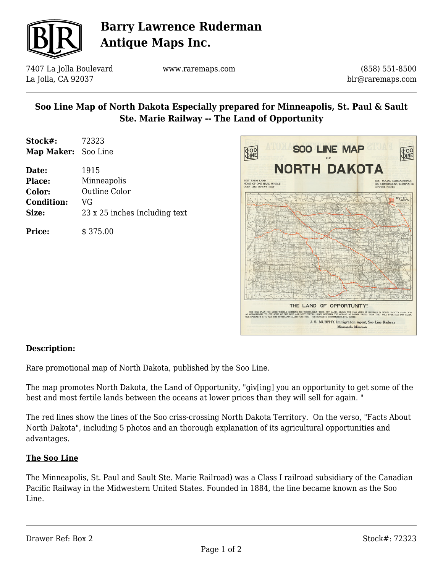

# **Barry Lawrence Ruderman Antique Maps Inc.**

7407 La Jolla Boulevard La Jolla, CA 92037

www.raremaps.com

(858) 551-8500 blr@raremaps.com

## **Soo Line Map of North Dakota Especially prepared for Minneapolis, St. Paul & Sault Ste. Marie Railway -- The Land of Opportunity**

| Stock#:             | 72323 |
|---------------------|-------|
| Map Maker: Soo Line |       |

| Date:             | 1915                          |
|-------------------|-------------------------------|
| <b>Place:</b>     | Minneapolis                   |
| Color:            | Outline Color                 |
| <b>Condition:</b> | VG                            |
| Size:             | 23 x 25 inches Including text |
| <b>Price:</b>     | \$375.00                      |



### **Description:**

Rare promotional map of North Dakota, published by the Soo Line.

The map promotes North Dakota, the Land of Opportunity, "giv[ing] you an opportunity to get some of the best and most fertile lands between the oceans at lower prices than they will sell for again. "

The red lines show the lines of the Soo criss-crossing North Dakota Territory. On the verso, "Facts About North Dakota", including 5 photos and an thorough explanation of its agricultural opportunities and advantages.

#### **The Soo Line**

The Minneapolis, St. Paul and Sault Ste. Marie Railroad) was a Class I railroad subsidiary of the Canadian Pacific Railway in the Midwestern United States. Founded in 1884, the line became known as the Soo Line.